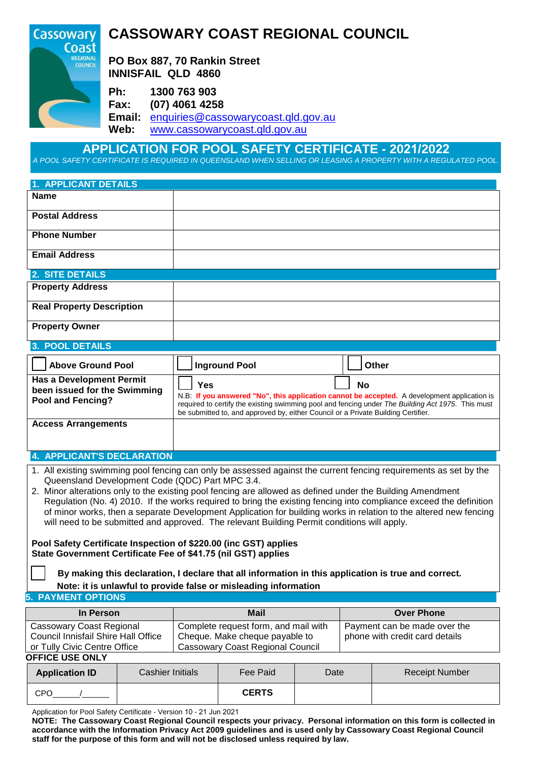

## **APPLICATION FOR POOL SAFETY CERTIFICATE - 2021/2022**

A POOL SAFETY CERTIFICATE IS REQUIRED IN QUEENSLAND WHEN SELLING OR LEASING A PROPERTY WITH A REGULATED POOL.

# **1. APPLICANT DETAILS Name Postal Address Phone Number Email Address 2. SITE DETAILS Property Address Real Property Description Property Owner**

## **3. POOL DETAILS**

| <b>Above Ground Pool</b>                                                             | <b>Inground Pool</b>                                                                                                                                                                                                                                                                          | Other |
|--------------------------------------------------------------------------------------|-----------------------------------------------------------------------------------------------------------------------------------------------------------------------------------------------------------------------------------------------------------------------------------------------|-------|
| <b>Has a Development Permit</b><br>been issued for the Swimming<br>Pool and Fencing? | Yes<br>N.B: If you answered "No", this application cannot be accepted. A development application is<br>required to certify the existing swimming pool and fencing under The Building Act 1975. This must<br>be submitted to, and approved by, either Council or a Private Building Certifier. | No    |
| <b>Access Arrangements</b>                                                           |                                                                                                                                                                                                                                                                                               |       |

### **4. APPLICANT'S DECLARATION**

- 1. All existing swimming pool fencing can only be assessed against the current fencing requirements as set by the Queensland Development Code (QDC) Part MPC 3.4.
- 2. Minor alterations only to the existing pool fencing are allowed as defined under the Building Amendment Regulation (No. 4) 2010. If the works required to bring the existing fencing into compliance exceed the definition of minor works, then a separate Development Application for building works in relation to the altered new fencing will need to be submitted and approved. The relevant Building Permit conditions will apply.

**Pool Safety Certificate Inspection of \$220.00 (inc GST) applies State Government Certificate Fee of \$41.75 (nil GST) applies**

 **By making this declaration, I declare that all information in this application is true and correct.** 

#### **Note: it is unlawful to provide false or misleading information**

#### **5. PAYMENT OPTIONS**

| In Person                           | <b>Mail</b>                             | <b>Over Phone</b>              |
|-------------------------------------|-----------------------------------------|--------------------------------|
| Cassowary Coast Regional            | Complete request form, and mail with    | Payment can be made over the   |
| Council Innisfail Shire Hall Office | Cheque. Make cheque payable to          | phone with credit card details |
| or Tully Civic Centre Office        | <b>Cassowary Coast Regional Council</b> |                                |
| <b>OFFICE USE ONLY</b>              |                                         |                                |

| <b>Application ID</b> | Cashier Initials | Fee Paid     | Date | <b>Receipt Number</b> |
|-----------------------|------------------|--------------|------|-----------------------|
| CPO                   |                  | <b>CERTS</b> |      |                       |

Application for Pool Safety Certificate - Version 10 - 21 Jun 2021

NOTE: The Cassowary Coast Regional Council respects your privacy. Personal information on this form is collected in accordance with the Information Privacy Act 2009 guidelines and is used only by Cassowary Coast Regional Council **staff for the purpose of this form and will not be disclosed unless required by law.**